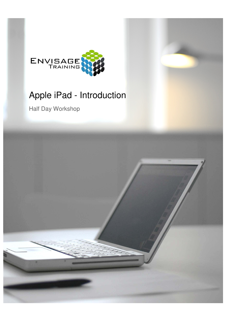

# Apple iPad - Introduction

Half Day Workshop

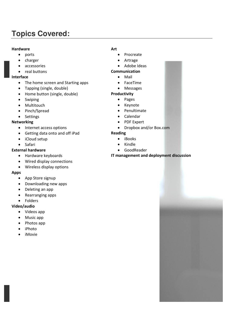# **Topics Covered:**

#### **Hardware**

- ports
- charger
- accessories
- real buttons

#### **Interface**

- The home screen and Starting apps
- Tapping (single, double)
- Home button (single, double)
- Swiping
- Multitouch
- Pinch/Spread
- Settings

#### **Networking**

- Internet access options
- Getting data onto and off iPad
- iCloud setup
- Safari

# **External hardware**

- Hardware keyboards
- Wired display connections
- Wireless display options

# **Apps**

- App Store signup
- Downloading new apps
- Deleting an app
- Rearranging apps
- Folders

# **Video/audio**

- Videos app
- Music app
- Photos app
- iPhoto
- iMovie

### **Art**

- Procreate
- Artrage
- Adobe Ideas

# **Communication**

- Mail
- FaceTime
- Messages

# **Productivity**

- Pages
- Keynote
- Penultimate
- Calendar
- PDF Expert
- Dropbox and/or Box.com

#### **Reading**

- iBooks
- Kindle
- GoodReader

#### **IT management and deployment discussion**